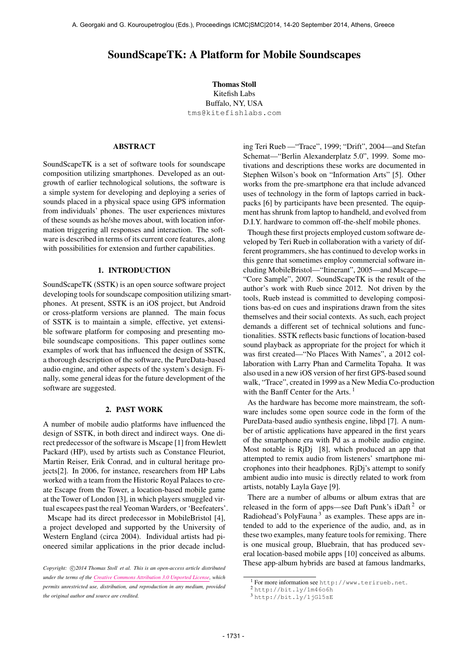# SoundScapeTK: A Platform for Mobile Soundscapes

Thomas Stoll Kitefish Labs Buffalo, NY, USA [tms@kitefishlabs.com](mailto:tms@kitefishlabs.com)

### ABSTRACT

SoundScapeTK is a set of software tools for soundscape composition utilizing smartphones. Developed as an outgrowth of earlier technological solutions, the software is a simple system for developing and deploying a series of sounds placed in a physical space using GPS information from individuals' phones. The user experiences mixtures of these sounds as he/she moves about, with location information triggering all responses and interaction. The software is described in terms of its current core features, along with possibilities for extension and further capabilities.

#### 1. INTRODUCTION

SoundScapeTK (SSTK) is an open source software project developing tools for soundscape composition utilizing smartphones. At present, SSTK is an iOS project, but Android or cross-platform versions are planned. The main focus of SSTK is to maintain a simple, effective, yet extensible software platform for composing and presenting mobile soundscape compositions. This paper outlines some examples of work that has influenced the design of SSTK, a thorough description of the software, the PureData-based audio engine, and other aspects of the system's design. Finally, some general ideas for the future development of the software are suggested.

#### 2. PAST WORK

A number of mobile audio platforms have influenced the design of SSTK, in both direct and indirect ways. One direct predecessor of the software is Mscape [1] from Hewlett Packard (HP), used by artists such as Constance Fleuriot, Martin Reiser, Erik Conrad, and in cultural heritage projects[2]. In 2006, for instance, researchers from HP Labs worked with a team from the Historic Royal Palaces to create Escape from the Tower, a location-based mobile game at the Tower of London [3], in which players smuggled virtual escapees past the real Yeoman Warders, or 'Beefeaters'.

Mscape had its direct predecessor in MobileBristol [4], a project developed and supported by the University of Western England (circa 2004). Individual artists had pioneered similar applications in the prior decade including Teri Rueb —"Trace", 1999; "Drift", 2004—and Stefan Schemat—"Berlin Alexanderplatz 5.0", 1999. Some motivations and descriptions these works are documented in Stephen Wilson's book on "Information Arts" [5]. Other works from the pre-smartphone era that include advanced uses of technology in the form of laptops carried in backpacks [6] by participants have been presented. The equipment has shrunk from laptop to handheld, and evolved from D.I.Y. hardware to common off-the-shelf mobile phones.

Though these first projects employed custom software developed by Teri Rueb in collaboration with a variety of different programmers, she has continued to develop works in this genre that sometimes employ commercial software including MobileBristol—"Itinerant", 2005—and Mscape— "Core Sample", 2007. SoundScapeTK is the result of the author's work with Rueb since 2012. Not driven by the tools, Rueb instead is committed to developing compositions bas-ed on cues and inspirations drawn from the sites themselves and their social contexts. As such, each project demands a different set of technical solutions and functionalities. SSTK reflects basic functions of location-based sound playback as appropriate for the project for which it was first created—"No Places With Names", a 2012 collaboration with Larry Phan and Carmelita Topaha. It was also used in a new iOS version of her first GPS-based sound walk, "Trace", created in 1999 as a New Media Co-production with the Banff Center for the Arts.  $<sup>1</sup>$ </sup>

As the hardware has become more mainstream, the software includes some open source code in the form of the PureData-based audio synthesis engine, libpd [7]. A number of artistic applications have appeared in the first years of the smartphone era with Pd as a mobile audio engine. Most notable is RjDj [8], which produced an app that attempted to remix audio from listeners' smartphone microphones into their headphones. RjDj's attempt to sonify ambient audio into music is directly related to work from artists, notably Layla Gaye [9].

There are a number of albums or album extras that are released in the form of apps—see Daft Punk's iDaft<sup>2</sup> or Radiohead's PolyFauna<sup>3</sup> as examples. These apps are intended to add to the experience of the audio, and, as in these two examples, many feature tools for remixing. There is one musical group, Bluebrain, that has produced several location-based mobile apps [10] conceived as albums. These app-album hybrids are based at famous landmarks,

Copyright:  $\bigcirc$ 2014 Thomas Stoll et al. This is an open-access article distributed *under the terms of the [Creative Commons Attribution 3.0 Unported License,](http://creativecommons.org/licenses/by/3.0/) which permits unrestricted use, distribution, and reproduction in any medium, provided the original author and source are credited.*

<sup>1</sup> For more information see <http://www.terirueb.net>.

<sup>2</sup> <http://bit.ly/1m46o6h>

<sup>3</sup> <http://bit.ly/1jGl5sE>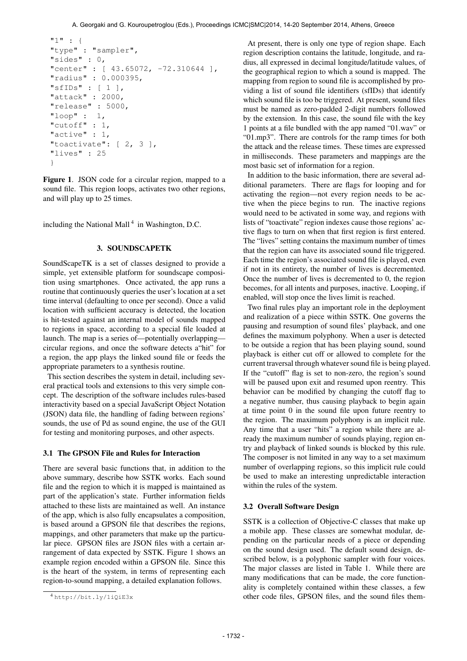```
"1" : {
"type" : "sampler",
"sides" : 0,
"center" : [ 43.65072, -72.310644 ],
"radius" : 0.000395,
"sfIDs" : [ 1 ],
"attack" : 2000,
"release" : 5000,
"loop" : 1,
"cutoff" : 1,
"active" : 1,
"toactivate": [ 2, 3 ],
"lives" : 25
}
```
Figure 1. JSON code for a circular region, mapped to a sound file. This region loops, activates two other regions, and will play up to 25 times.

including the National Mall<sup>4</sup> in Washington, D.C.

### 3. SOUNDSCAPETK

SoundScapeTK is a set of classes designed to provide a simple, yet extensible platform for soundscape composition using smartphones. Once activated, the app runs a routine that continuously queries the user's location at a set time interval (defaulting to once per second). Once a valid location with sufficient accuracy is detected, the location is hit-tested against an internal model of sounds mapped to regions in space, according to a special file loaded at launch. The map is a series of—potentially overlapping circular regions, and once the software detects a"hit" for a region, the app plays the linked sound file or feeds the appropriate parameters to a synthesis routine.

This section describes the system in detail, including several practical tools and extensions to this very simple concept. The description of the software includes rules-based interactivity based on a special JavaScript Object Notation (JSON) data file, the handling of fading between regions' sounds, the use of Pd as sound engine, the use of the GUI for testing and monitoring purposes, and other aspects.

#### 3.1 The GPSON File and Rules for Interaction

There are several basic functions that, in addition to the above summary, describe how SSTK works. Each sound file and the region to which it is mapped is maintained as part of the application's state. Further information fields attached to these lists are maintained as well. An instance of the app, which is also fully encapsulates a composition, is based around a GPSON file that describes the regions, mappings, and other parameters that make up the particular piece. GPSON files are JSON files with a certain arrangement of data expected by SSTK. Figure 1 shows an example region encoded within a GPSON file. Since this is the heart of the system, in terms of representing each region-to-sound mapping, a detailed explanation follows.

At present, there is only one type of region shape. Each region description contains the latitude, longitude, and radius, all expressed in decimal longitude/latitude values, of the geographical region to which a sound is mapped. The mapping from region to sound file is accomplished by providing a list of sound file identifiers (sfIDs) that identify which sound file is too be triggered. At present, sound files must be named as zero-padded 2-digit numbers followed by the extension. In this case, the sound file with the key 1 points at a file bundled with the app named "01.wav" or "01.mp3". There are controls for the ramp times for both the attack and the release times. These times are expressed in milliseconds. These parameters and mappings are the most basic set of information for a region.

In addition to the basic information, there are several additional parameters. There are flags for looping and for activating the region—not every region needs to be active when the piece begins to run. The inactive regions would need to be activated in some way, and regions with lists of "toactivate" region indexes cause those regions' active flags to turn on when that first region is first entered. The "lives" setting contains the maximum number of times that the region can have its associated sound file triggered. Each time the region's associated sound file is played, even if not in its entirety, the number of lives is decremented. Once the number of lives is decremented to 0, the region becomes, for all intents and purposes, inactive. Looping, if enabled, will stop once the lives limit is reached.

Two final rules play an important role in the deployment and realization of a piece within SSTK. One governs the pausing and resumption of sound files' playback, and one defines the maximum polyphony. When a user is detected to be outside a region that has been playing sound, sound playback is either cut off or allowed to complete for the current traversal through whatever sound file is being played. If the "cutoff" flag is set to non-zero, the region's sound will be paused upon exit and resumed upon reentry. This behavior can be modified by changing the cutoff flag to a negative number, thus causing playback to begin again at time point 0 in the sound file upon future reentry to the region. The maximum polyphony is an implicit rule. Any time that a user "hits" a region while there are already the maximum number of sounds playing, region entry and playback of linked sounds is blocked by this rule. The composer is not limited in any way to a set maximum number of overlapping regions, so this implicit rule could be used to make an interesting unpredictable interaction within the rules of the system.

#### 3.2 Overall Software Design

SSTK is a collection of Objective-C classes that make up a mobile app. These classes are somewhat modular, depending on the particular needs of a piece or depending on the sound design used. The default sound design, described below, is a polyphonic sampler with four voices. The major classes are listed in Table 1. While there are many modifications that can be made, the core functionality is completely contained within these classes, a few other code files, GPSON files, and the sound files them-

<sup>4</sup> <http://bit.ly/1iQiE3x>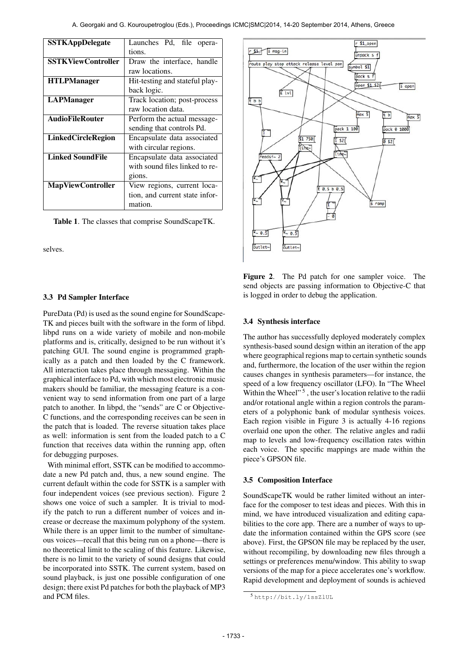| <b>SSTKAppDelegate</b>    | Launches Pd, file opera-       |  |  |
|---------------------------|--------------------------------|--|--|
|                           | tions.                         |  |  |
| <b>SSTKViewController</b> | Draw the interface, handle     |  |  |
|                           | raw locations.                 |  |  |
| <b>HTLPManager</b>        | Hit-testing and stateful play- |  |  |
|                           | back logic.                    |  |  |
| <b>LAPManager</b>         | Track location; post-process   |  |  |
|                           | raw location data.             |  |  |
| <b>AudioFileRouter</b>    | Perform the actual message-    |  |  |
|                           | sending that controls Pd.      |  |  |
| <b>LinkedCircleRegion</b> | Encapsulate data associated    |  |  |
|                           | with circular regions.         |  |  |
| <b>Linked SoundFile</b>   | Encapsulate data associated    |  |  |
|                           | with sound files linked to re- |  |  |
|                           | gions.                         |  |  |
| <b>MapViewController</b>  | View regions, current loca-    |  |  |
|                           | tion, and current state infor- |  |  |
|                           | mation.                        |  |  |

Table 1. The classes that comprise SoundScapeTK.

selves.

#### 3.3 Pd Sampler Interface

PureData (Pd) is used as the sound engine for SoundScape-TK and pieces built with the software in the form of libpd. libpd runs on a wide variety of mobile and non-mobile platforms and is, critically, designed to be run without it's patching GUI. The sound engine is programmed graphically as a patch and then loaded by the C framework. All interaction takes place through messaging. Within the graphical interface to Pd, with which most electronic music makers should be familiar, the messaging feature is a convenient way to send information from one part of a large patch to another. In libpd, the "sends" are C or Objective-C functions, and the corresponding receives can be seen in the patch that is loaded. The reverse situation takes place as well: information is sent from the loaded patch to a C function that receives data within the running app, often for debugging purposes.

With minimal effort, SSTK can be modified to accommodate a new Pd patch and, thus, a new sound engine. The current default within the code for SSTK is a sampler with four independent voices (see previous section). Figure 2 shows one voice of such a sampler. It is trivial to modify the patch to run a different number of voices and increase or decrease the maximum polyphony of the system. While there is an upper limit to the number of simultaneous voices—recall that this being run on a phone—there is no theoretical limit to the scaling of this feature. Likewise, there is no limit to the variety of sound designs that could be incorporated into SSTK. The current system, based on sound playback, is just one possible configuration of one design; there exist Pd patches for both the playback of MP3 and PCM files.



Figure 2. The Pd patch for one sampler voice. The send objects are passing information to Objective-C that is logged in order to debug the application.

#### 3.4 Synthesis interface

The author has successfully deployed moderately complex synthesis-based sound design within an iteration of the app where geographical regions map to certain synthetic sounds and, furthermore, the location of the user within the region causes changes in synthesis parameters—for instance, the speed of a low frequency oscillator (LFO). In "The Wheel Within the Wheel"<sup>5</sup>, the user's location relative to the radii and/or rotational angle within a region controls the parameters of a polyphonic bank of modular synthesis voices. Each region visible in Figure 3 is actually 4-16 regions overlaid one upon the other. The relative angles and radii map to levels and low-frequency oscillation rates within each voice. The specific mappings are made within the piece's GPSON file.

#### 3.5 Composition Interface

SoundScapeTK would be rather limited without an interface for the composer to test ideas and pieces. With this in mind, we have introduced visualization and editing capabilities to the core app. There are a number of ways to update the information contained within the GPS score (see above). First, the GPSON file may be replaced by the user, without recompiling, by downloading new files through a settings or preferences menu/window. This ability to swap versions of the map for a piece accelerates one's workflow. Rapid development and deployment of sounds is achieved

<sup>5</sup> <http://bit.ly/1ssZlUL>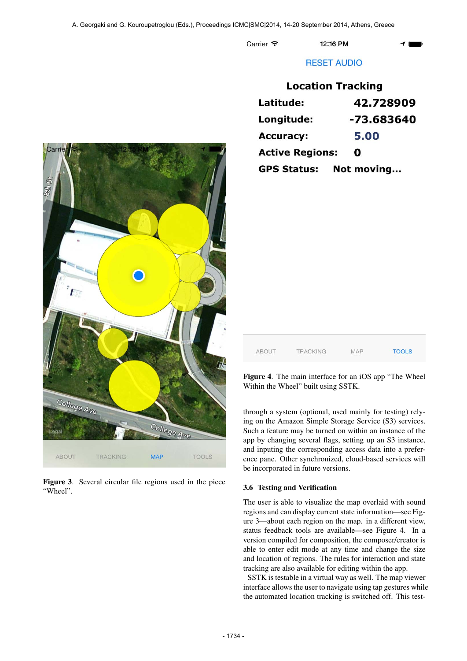Carrier 今

12:16 PM

## **RESET AUDIO**

|                        | Location Tracking |
|------------------------|-------------------|
| Latitude:              | 42.728909         |
| Longitude:             | -73.683640        |
| <b>Accuracy:</b>       | 5.00              |
| <b>Active Regions:</b> | O                 |
| <b>GPS Status:</b>     | Not moving        |



Figure 3. Several circular file regions used in the piece "Wheel".

| <b>ABOUT</b> | <b>TRACKING</b> | <b>MAP</b> | <b>TOOLS</b> |
|--------------|-----------------|------------|--------------|

Figure 4. The main interface for an iOS app "The Wheel Within the Wheel" built using SSTK.

through a system (optional, used mainly for testing) relying on the Amazon Simple Storage Service (S3) services. Such a feature may be turned on within an instance of the app by changing several flags, setting up an S3 instance, and inputing the corresponding access data into a preference pane. Other synchronized, cloud-based services will be incorporated in future versions.

## 3.6 Testing and Verification

The user is able to visualize the map overlaid with sound regions and can display current state information—see Figure 3—about each region on the map. in a different view, status feedback tools are available—see Figure 4. In a version compiled for composition, the composer/creator is able to enter edit mode at any time and change the size and location of regions. The rules for interaction and state tracking are also available for editing within the app.

SSTK is testable in a virtual way as well. The map viewer interface allows the user to navigate using tap gestures while the automated location tracking is switched off. This test